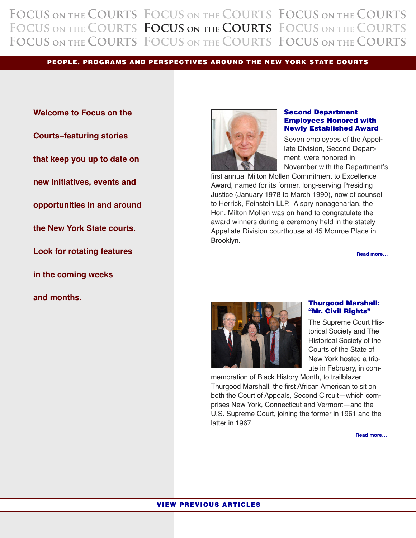<span id="page-0-0"></span>**Focus on the Courts Focus on the Courts Focus on the Courts Focus on the Courts Focus on the Courts Focus on the Courts Focus on the Courts Focus on the Courts Focus on the Courts**

**PEOPLE, PROGRAMS AND PERSPECTIVES AROUND THE NEW YORK STATE COURTS**

**Welcome to Focus on the Courts–featuring stories that keep you up to date on new initiatives, events and opportunities in and around the New York State courts. Look for rotating features in the coming weeks and months.**



## **Second [Department](#page-1-0) Employees Honored with Newly Established Award**

Seven employees of the Appellate Division, Second Department, were honored in November with the Department's

first annual Milton Mollen Commitment to Excellence Award, named for its former, long-serving Presiding Justice (January 1978 to March 1990), now of counsel to Herrick, Feinstein LLP. A spry nonagenarian, the Hon. Milton Mollen was on hand to congratulate the award winners during a ceremony held in the stately Appellate Division courthouse at 45 Monroe Place in Brooklyn.

**Read [more…](#page-1-0)**



## **[Thurgood](#page-2-0) Marshall: "Mr. Civil Rights"**

The Supreme Court Historical Society and The Historical Society of the Courts of the State of New York hosted a tribute in February, in com-

memoration of Black History Month, to trailblazer Thurgood Marshall, the first African American to sit on both the Court of Appeals, Second Circuit—which comprises New York, Connecticut and Vermont—and the U.S. Supreme Court, joining the former in 1961 and the latter in 1967.

**Read [more…](#page-2-0)**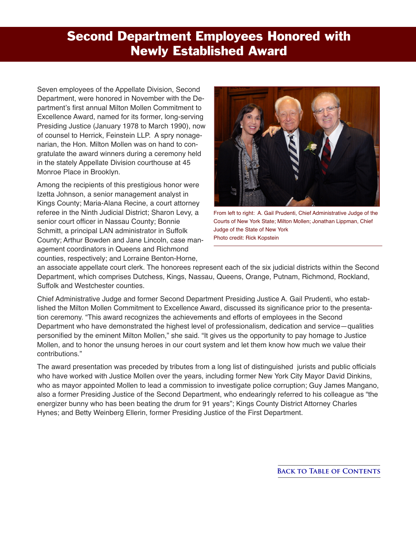## <span id="page-1-0"></span>**Second Department Employees Honored with Newly Established Award**

Seven employees of the Appellate Division, Second Department, were honored in November with the Department's first annual Milton Mollen Commitment to Excellence Award, named for its former, long-serving Presiding Justice (January 1978 to March 1990), now of counsel to Herrick, Feinstein LLP. A spry nonagenarian, the Hon. Milton Mollen was on hand to congratulate the award winners during a ceremony held in the stately Appellate Division courthouse at 45 Monroe Place in Brooklyn.

Among the recipients of this prestigious honor were Izetta Johnson, a senior management analyst in Kings County; Maria-Alana Recine, a court attorney referee in the Ninth Judicial District; Sharon Levy, a senior court officer in Nassau County; Bonnie Schmitt, a principal LAN administrator in Suffolk County; Arthur Bowden and Jane Lincoln, case management coordinators in Queens and Richmond counties, respectively; and Lorraine Benton-Horne,



From left to right: A. Gail Prudenti, Chief Administrative Judge of the Courts of New York State; Milton Mollen; Jonathan Lippman, Chief Judge of the State of New York Photo credit: Rick Kopstein

an associate appellate court clerk. The honorees represent each of the six judicial districts within the Second Department, which comprises Dutchess, Kings, Nassau, Queens, Orange, Putnam, Richmond, Rockland, Suffolk and Westchester counties.

Chief Administrative Judge and former Second Department Presiding Justice A. Gail Prudenti, who established the Milton Mollen Commitment to Excellence Award, discussed its significance prior to the presentation ceremony. "This award recognizes the achievements and efforts of employees in the Second Department who have demonstrated the highest level of professionalism, dedication and service—qualities personified by the eminent Milton Mollen," she said. "It gives us the opportunity to pay homage to Justice Mollen, and to honor the unsung heroes in our court system and let them know how much we value their contributions."

The award presentation was preceded by tributes from a long list of distinguished jurists and public officials who have worked with Justice Mollen over the years, including former New York City Mayor David Dinkins, who as mayor appointed Mollen to lead a commission to investigate police corruption; Guy James Mangano, also a former Presiding Justice of the Second Department, who endearingly referred to his colleague as "the energizer bunny who has been beating the drum for 91 years"; Kings County District Attorney Charles Hynes; and Betty Weinberg Ellerin, former Presiding Justice of the First Department.

**Back to Table of [Contents](#page-0-0)**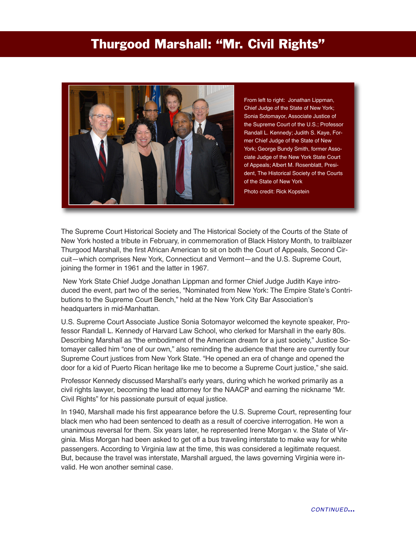## <span id="page-2-0"></span>**Thurgood Marshall: "Mr. Civil Rights"**



From left to right: Jonathan Lippman, Chief Judge of the State of New York; Sonia Sotomayor, Associate Justice of the Supreme Court of the U.S.; Professor Randall L. Kennedy; Judith S. Kaye, Former Chief Judge of the State of New York; George Bundy Smith, former Associate Judge of the New York State Court of Appeals; Albert M. Rosenblatt, President, The Historical Society of the Courts of the State of New York

Photo credit: Rick Kopstein

The Supreme Court Historical Society and The Historical Society of the Courts of the State of New York hosted a tribute in February, in commemoration of Black History Month, to trailblazer Thurgood Marshall, the first African American to sit on both the Court of Appeals, Second Circuit—which comprises New York, Connecticut and Vermont—and the U.S. Supreme Court, joining the former in 1961 and the latter in 1967.

New York State Chief Judge Jonathan Lippman and former Chief Judge Judith Kaye introduced the event, part two of the series, "Nominated from New York: The Empire State's Contributions to the Supreme Court Bench," held at the New York City Bar Association's headquarters in mid-Manhattan.

U.S. Supreme Court Associate Justice Sonia Sotomayor welcomed the keynote speaker, Professor Randall L. Kennedy of Harvard Law School, who clerked for Marshall in the early 80s. Describing Marshall as "the embodiment of the American dream for a just society," Justice Sotomayer called him "one of our own," also reminding the audience that there are currently four Supreme Court justices from New York State. "He opened an era of change and opened the door for a kid of Puerto Rican heritage like me to become a Supreme Court justice," she said.

Professor Kennedy discussed Marshall's early years, during which he worked primarily as a civil rights lawyer, becoming the lead attorney for the NAACP and earning the nickname "Mr. Civil Rights" for his passionate pursuit of equal justice.

In 1940, Marshall made his first appearance before the U.S. Supreme Court, representing four black men who had been sentenced to death as a result of coercive interrogation. He won a unanimous reversal for them. Six years later, he represented Irene Morgan v. the State of Virginia. Miss Morgan had been asked to get off a bus traveling interstate to make way for white passengers. According to Virginia law at the time, this was considered a legitimate request. But, because the travel was interstate, Marshall argued, the laws governing Virginia were invalid. He won another seminal case.